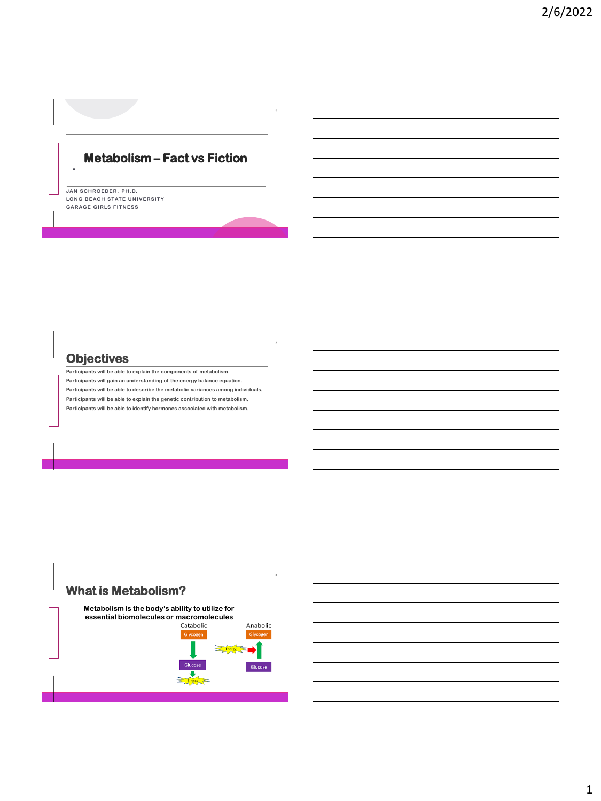## **Metabolism – Fact vs Fiction**

**JAN SCHROEDER, PH.D. LONG BEACH STATE UNIVERSITY GARAGE GIRLS FITNESS**

**T H C O F F E E**

**T H C O F F E E**

### **Objectives**

**Participants will be able to explain the components of metabolism. Participants will gain an understanding of the energy balance equation. Participants will be able to describe the metabolic variances among individuals. Participants will be able to explain the genetic contribution to metabolism. Participants will be able to identify hormones associated with metabolism.**



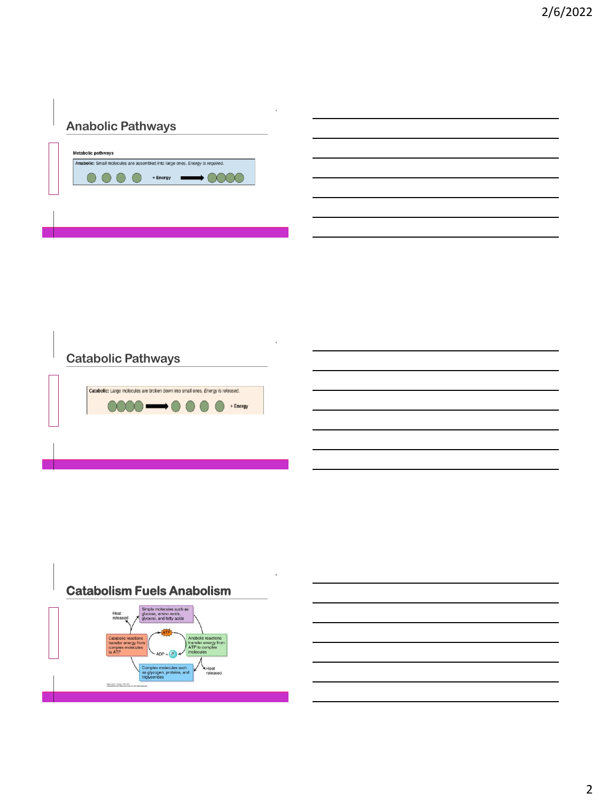## **Anabolic Pathways**





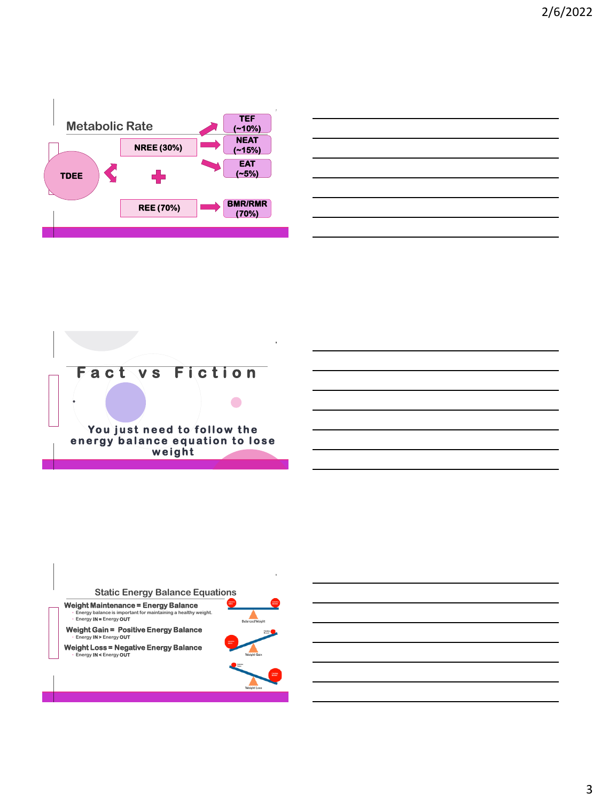



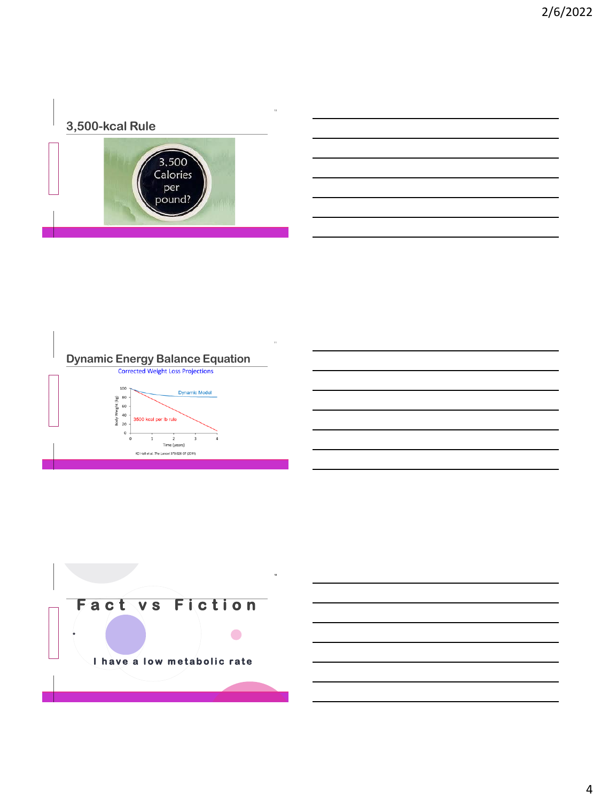# **3,500-kcal Rule**





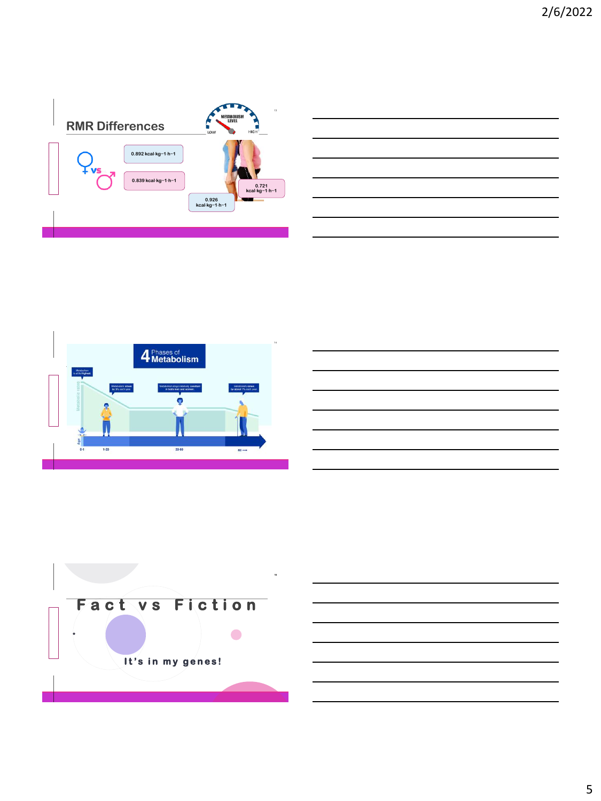







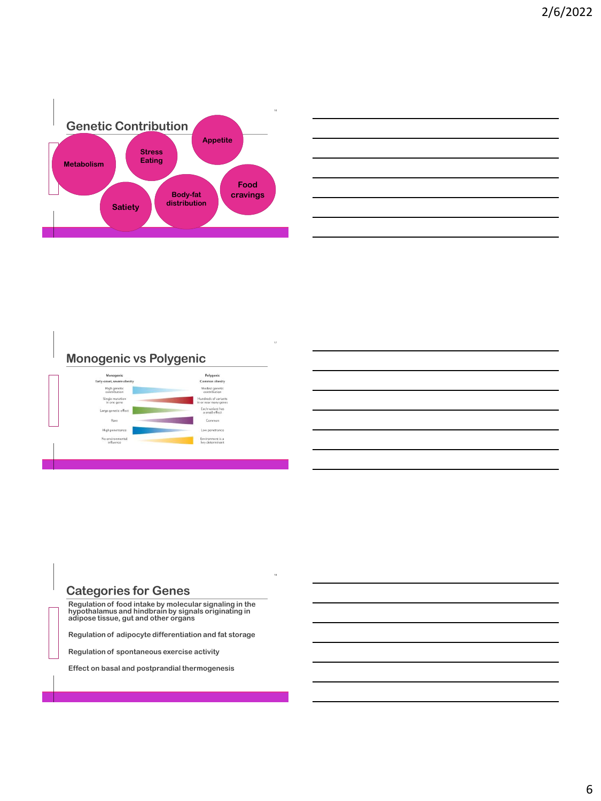

# **Monogenic vs Polygenic**



#### **Categories for Genes**

**T H C O F F E E**

**Regulation of food intake by molecular signaling in the hypothalamus and hindbrain by signals originating in adipose tissue, gut and other organs**

**Regulation of adipocyte differentiation and fat storage**

**Regulation of spontaneous exercise activity**

**Effect on basal and postprandial thermogenesis**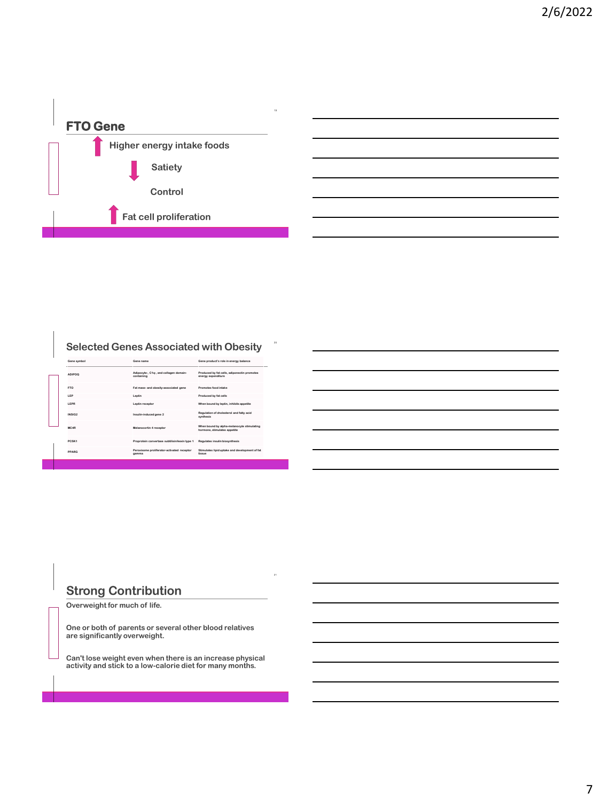

#### **Selected Genes Associated with Obesity**

| Gene symbol       | Gene name                                            | Gene product's role in energy balance                                      |
|-------------------|------------------------------------------------------|----------------------------------------------------------------------------|
| <b>ADIPOQ</b>     | Adipocyte-, C1g-, and collagen domain-<br>containing | Produced by fat cells, adiponectin promotes<br>energy expenditure          |
| <b>FTO</b>        | Fat mass- and obesity-associated gene                | Promotes food intake                                                       |
| <b>IFP</b>        | Leptin                                               | Produced by fat cells                                                      |
| <b>I FPR</b>      | Leptin receptor                                      | When bound by leptin, inhibits appetite                                    |
| INSIG2            | Insulin-induced gene 2                               | Regulation of cholesterol and fatty acid<br>synthesis                      |
| MC4R              | Melanocortin 4 receptor                              | When bound by alpha-melanocyte stimulating<br>hormone, stimulates appetite |
| PCSK <sub>1</sub> | Proprotein convertase subtilisin/kexin type 1        | Regulates insulin biosynthesis                                             |
| PPARG             | Peroxisome proliferator-activated receptor<br>gamma  | Stimulates lipid uptake and development of fat<br>tissue                   |
|                   |                                                      |                                                                            |

#### **Strong Contribution**

**Overweight for much of life.**

**T H C O F F E E**

**One or both of parents or several other blood relatives are significantly overweight.** 

**Can't lose weight even when there is an increase physical activity and stick to a low-calorie diet for many months.**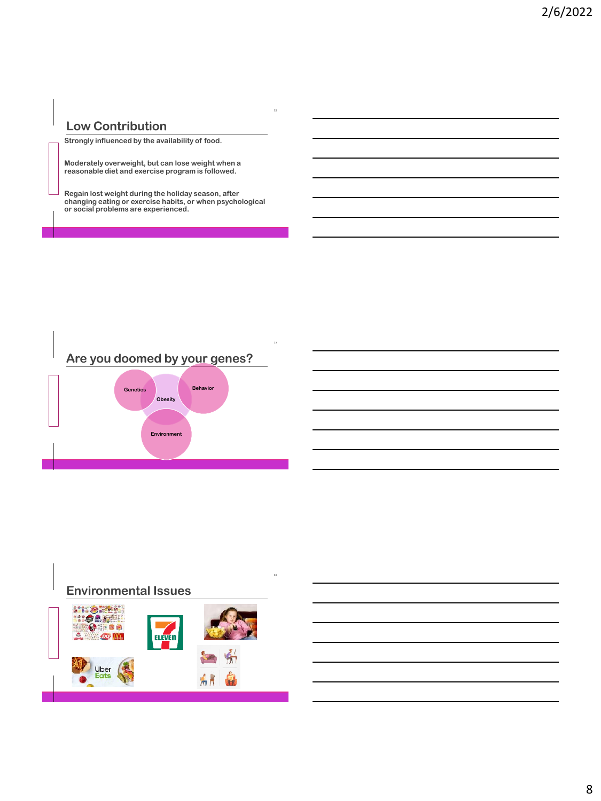## **Low Contribution**

**T H C O F F E E**

**Strongly influenced by the availability of food.**

**Moderately overweight, but can lose weight when a reasonable diet and exercise program is followed.**

**Regain lost weight during the holiday season, after changing eating or exercise habits, or when psychological or social problems are experienced.**



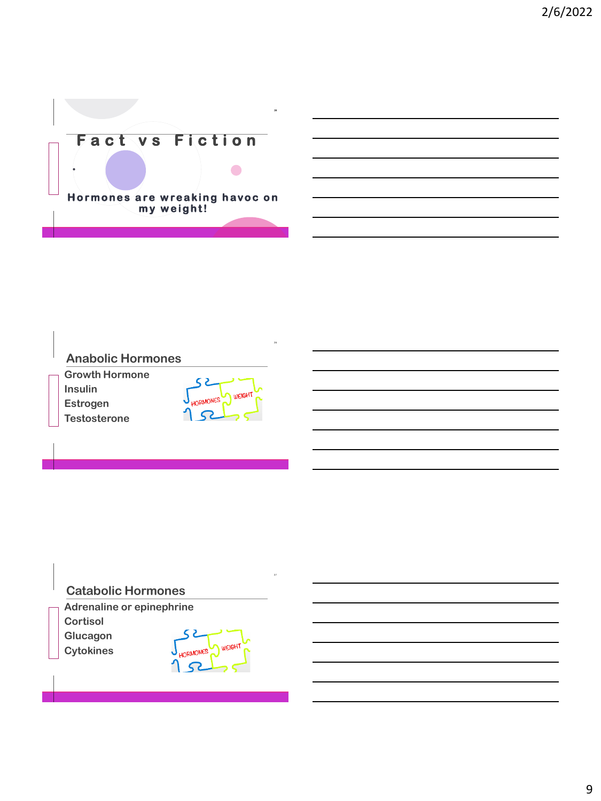2/6/2022



#### **Anabolic Hormones**

**Growth Hormone Insulin Estrogen Testosterone**

**T H C O F F E E**

 $52$ **WEIGHT ORMONES** 52

## **Catabolic Hormones**

**Adrenaline or epinephrine Cortisol**

**Glucagon Cytokines**

**T H C O F F E E**

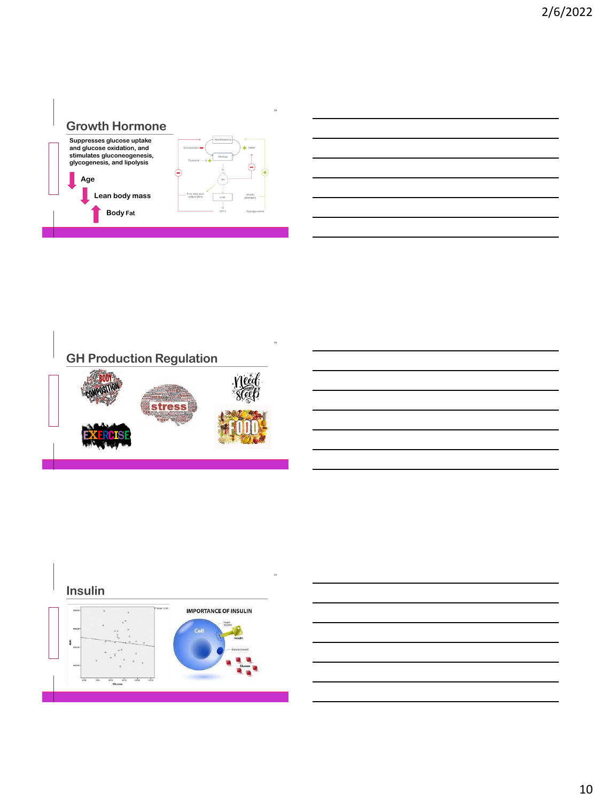# **Growth Hormone**



**T H C O F F E E**





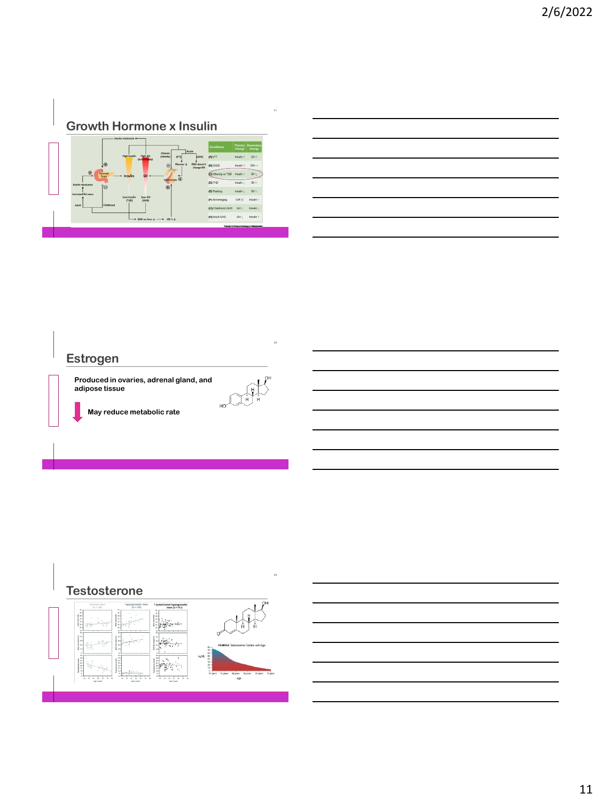

## **Estrogen**

**T H C O F F E E**

**Produced in ovaries, adrenal gland, and adipose tissue**

**May reduce metabolic rate**

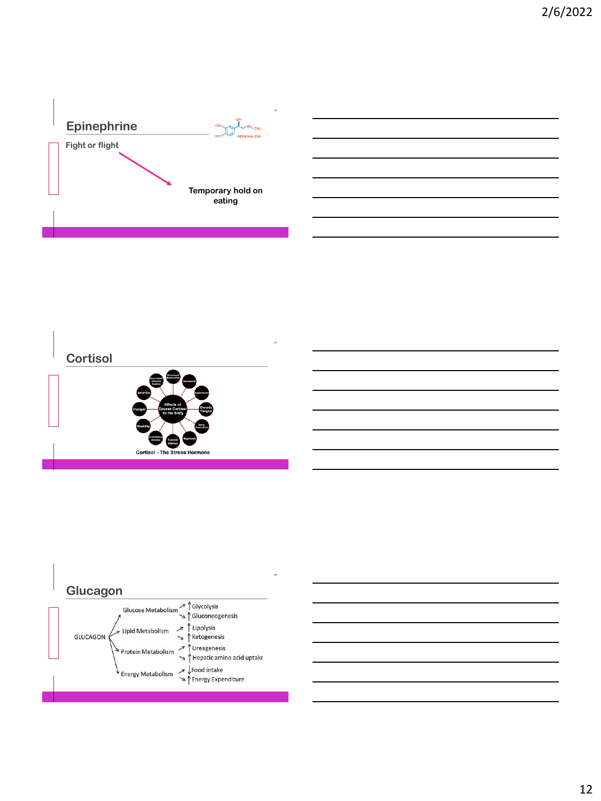





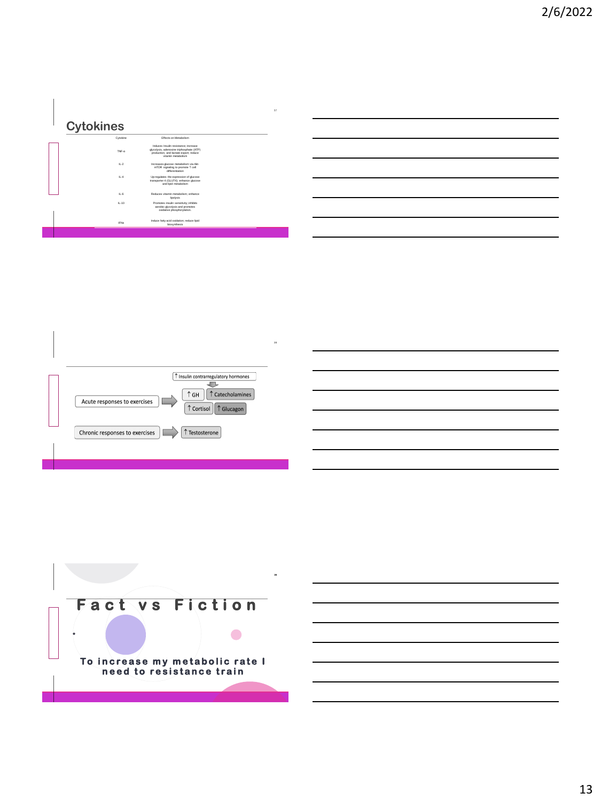## **Cytokines**

| Cytokine | Effects on Metabolism                                                                                                                            |
|----------|--------------------------------------------------------------------------------------------------------------------------------------------------|
| TNF-a    | Induces Insulin resistance: increase<br>glycolysis, adenosine triphosphate (ATP)<br>production, and lactate export; reduce<br>vitamin metaholism |
| $L-2$    | Increases glucose metabolism via Akt-<br>mTOR signaling to promote T cell<br>differentiation                                                     |
| $L-4$    | Up-regulates the expression of glucose<br>transporter 4 (GLUT4); enhance glucose<br>and ligid metabolism                                         |
| $L-6$    | Reduces vitamin metabolism: enhance<br>lipolysis                                                                                                 |
| $IL-10$  | Promotes insulin sensitivity; inhibits<br>aerobic glycolysis and promotes<br>oxidative phosphorvlation.                                          |
| IFNs     | Induce fatty acid oxidation; reduce lipid<br>biosynthesis                                                                                        |
|          |                                                                                                                                                  |